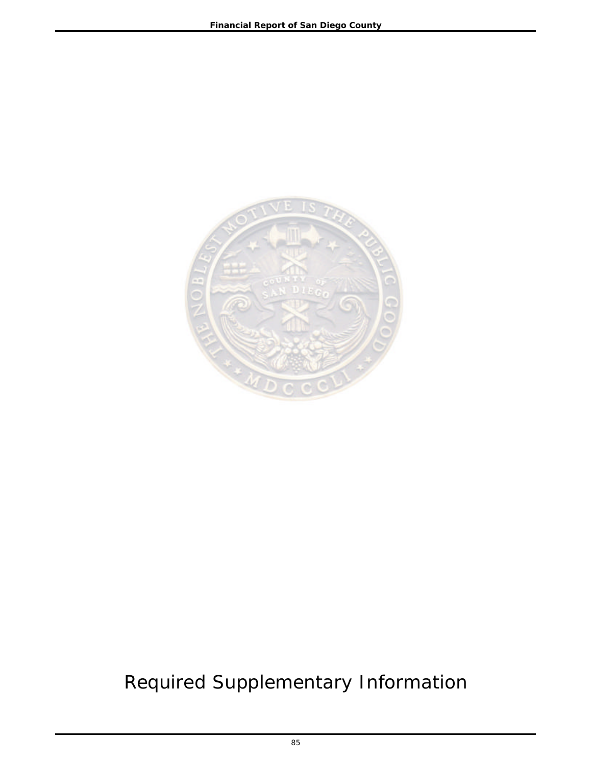

# Required Supplementary Information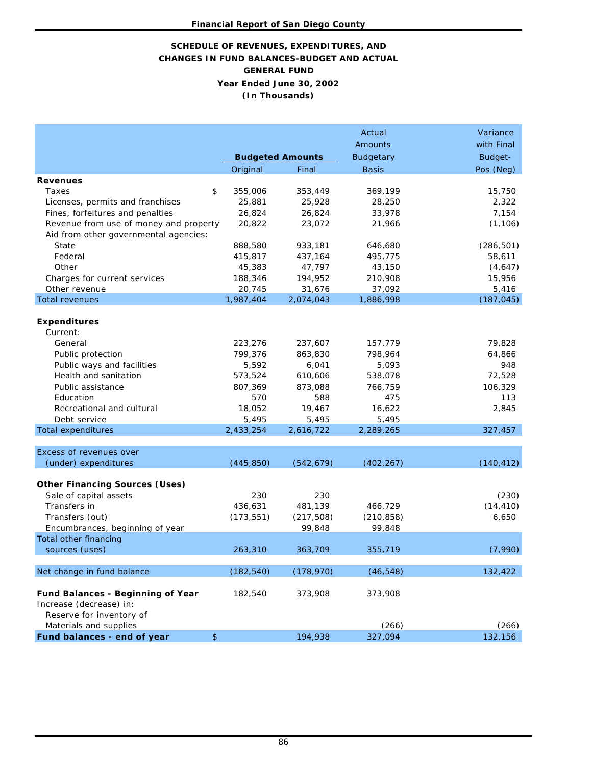# **SCHEDULE OF REVENUES, EXPENDITURES, AND CHANGES IN FUND BALANCES-BUDGET AND ACTUAL GENERAL FUND Year Ended June 30, 2002 (In Thousands)**

|                                          |               |                         | Actual           | Variance   |
|------------------------------------------|---------------|-------------------------|------------------|------------|
|                                          |               |                         | Amounts          | with Final |
|                                          |               | <b>Budgeted Amounts</b> | <b>Budgetary</b> | Budget-    |
|                                          | Original      | Final                   | <b>Basis</b>     | Pos (Neg)  |
| <b>Revenues</b>                          |               |                         |                  |            |
| Taxes                                    | \$<br>355,006 | 353,449                 | 369,199          | 15,750     |
| Licenses, permits and franchises         | 25,881        | 25,928                  | 28,250           | 2,322      |
| Fines, forfeitures and penalties         | 26,824        | 26,824                  | 33,978           | 7,154      |
| Revenue from use of money and property   | 20,822        | 23,072                  | 21,966           | (1, 106)   |
| Aid from other governmental agencies:    |               |                         |                  |            |
| State                                    | 888,580       | 933,181                 | 646,680          | (286, 501) |
| Federal                                  | 415,817       | 437,164                 | 495,775          | 58,611     |
| Other                                    | 45,383        | 47,797                  | 43,150           | (4,647)    |
| Charges for current services             | 188,346       | 194,952                 | 210,908          | 15,956     |
| Other revenue                            | 20,745        | 31,676                  | 37,092           | 5,416      |
| <b>Total revenues</b>                    | 1,987,404     | 2,074,043               | 1,886,998        | (187, 045) |
|                                          |               |                         |                  |            |
| <b>Expenditures</b>                      |               |                         |                  |            |
| Current:                                 |               |                         |                  |            |
| General                                  | 223,276       | 237,607                 | 157,779          | 79,828     |
| Public protection                        | 799,376       | 863,830                 | 798,964          | 64,866     |
| Public ways and facilities               | 5,592         | 6,041                   | 5,093            | 948        |
| Health and sanitation                    | 573,524       | 610,606                 | 538,078          | 72,528     |
| Public assistance                        | 807,369       | 873,088                 | 766,759          | 106,329    |
| Education                                | 570           | 588                     | 475              | 113        |
| Recreational and cultural                | 18,052        | 19,467                  | 16,622           | 2,845      |
| Debt service                             | 5,495         | 5,495                   | 5,495            |            |
| <b>Total expenditures</b>                | 2,433,254     | 2,616,722               | 2,289,265        | 327,457    |
|                                          |               |                         |                  |            |
| Excess of revenues over                  |               |                         |                  |            |
| (under) expenditures                     | (445, 850)    | (542, 679)              | (402, 267)       | (140, 412) |
|                                          |               |                         |                  |            |
| <b>Other Financing Sources (Uses)</b>    |               |                         |                  |            |
| Sale of capital assets                   | 230           | 230                     |                  | (230)      |
| Transfers in                             | 436,631       | 481,139                 | 466,729          | (14, 410)  |
| Transfers (out)                          | (173, 551)    | (217, 508)              | (210, 858)       | 6,650      |
| Encumbrances, beginning of year          |               | 99,848                  | 99,848           |            |
| Total other financing                    |               |                         |                  |            |
| sources (uses)                           | 263,310       | 363,709                 | 355,719          | (7,990)    |
|                                          |               |                         |                  |            |
| Net change in fund balance               | (182, 540)    | (178, 970)              | (46, 548)        | 132,422    |
|                                          |               |                         |                  |            |
| <b>Fund Balances - Beginning of Year</b> | 182,540       | 373,908                 | 373,908          |            |
| Increase (decrease) in:                  |               |                         |                  |            |
| Reserve for inventory of                 |               |                         |                  |            |
| Materials and supplies                   |               |                         | (266)            | (266)      |
| Fund balances - end of year              | $\frac{1}{2}$ | 194,938                 | 327,094          | 132,156    |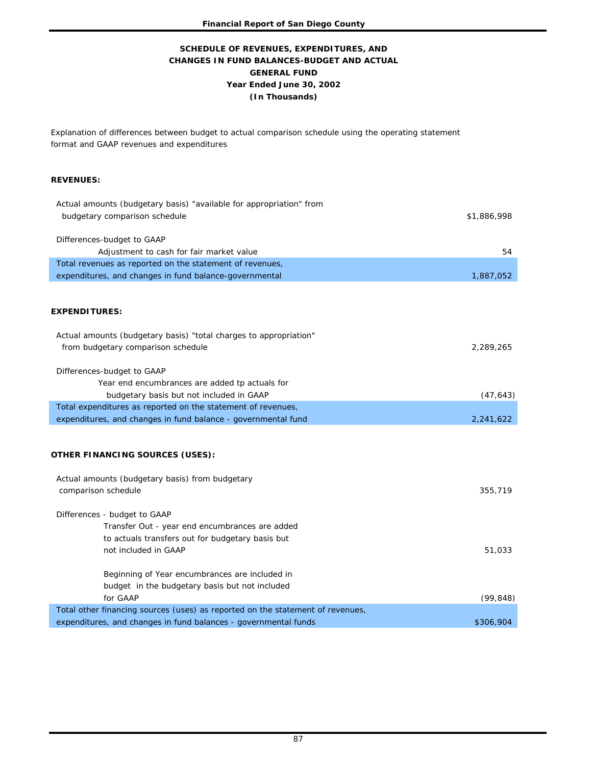## **GENERAL FUND Year Ended June 30, 2002 (In Thousands) SCHEDULE OF REVENUES, EXPENDITURES, AND CHANGES IN FUND BALANCES-BUDGET AND ACTUAL**

Explanation of differences between budget to actual comparison schedule using the operating statement format and GAAP revenues and expenditures

#### **REVENUES:**

| Actual amounts (budgetary basis) "available for appropriation" from<br>budgetary comparison schedule | \$1,886,998 |
|------------------------------------------------------------------------------------------------------|-------------|
| Differences-budget to GAAP                                                                           |             |
| Adjustment to cash for fair market value                                                             | 54          |
| Total revenues as reported on the statement of revenues,                                             |             |
| expenditures, and changes in fund balance-governmental                                               | 1,887,052   |
|                                                                                                      |             |
| <b>EXPENDITURES:</b>                                                                                 |             |
| Actual amounts (budgetary basis) "total charges to appropriation"                                    |             |
| from budgetary comparison schedule                                                                   | 2,289,265   |
| Differences-budget to GAAP                                                                           |             |
| Year end encumbrances are added tp actuals for                                                       |             |
| budgetary basis but not included in GAAP                                                             | (47, 643)   |
| Total expenditures as reported on the statement of revenues,                                         |             |
| expenditures, and changes in fund balance - governmental fund                                        | 2,241,622   |
|                                                                                                      |             |
| OTHER FINANCING SOURCES (USES):                                                                      |             |
| Actual amounts (budgetary basis) from budgetary                                                      |             |
| comparison schedule                                                                                  | 355,719     |
| Differences - budget to GAAP                                                                         |             |
| Transfer Out - year end encumbrances are added                                                       |             |
| to actuals transfers out for budgetary basis but                                                     |             |
| not included in GAAP                                                                                 | 51,033      |
| Beginning of Year encumbrances are included in                                                       |             |
| budget in the budgetary basis but not included                                                       |             |
| for GAAP                                                                                             | (99, 848)   |
| Total other financing sources (uses) as reported on the statement of revenues,                       |             |
| expenditures, and changes in fund balances - governmental funds                                      | \$306,904   |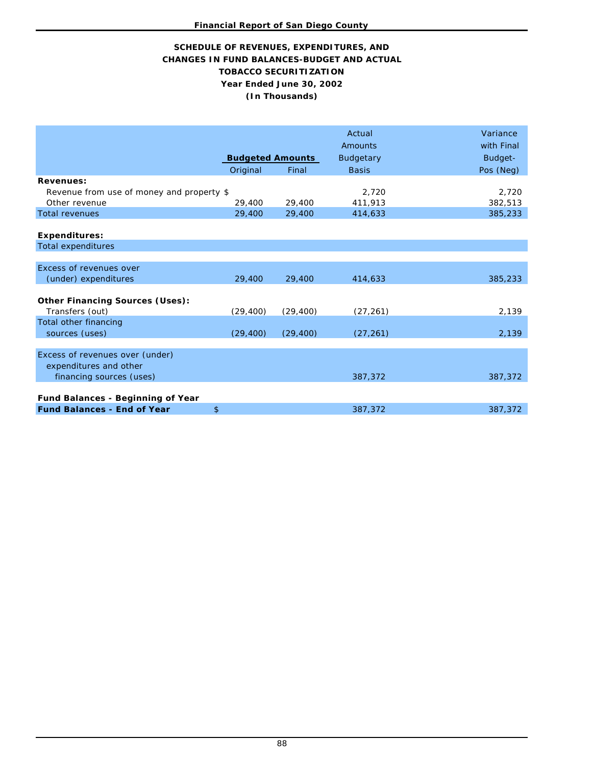## **TOBACCO SECURITIZATION SCHEDULE OF REVENUES, EXPENDITURES, AND CHANGES IN FUND BALANCES-BUDGET AND ACTUAL Year Ended June 30, 2002 (In Thousands)**

|                                           |                         |           | Actual<br>Amounts | Variance<br>with Final |
|-------------------------------------------|-------------------------|-----------|-------------------|------------------------|
|                                           | <b>Budgeted Amounts</b> |           | <b>Budgetary</b>  | Budget-                |
|                                           | Original                | Final     | <b>Basis</b>      | Pos (Neg)              |
| <b>Revenues:</b>                          |                         |           |                   |                        |
| Revenue from use of money and property \$ |                         |           | 2,720             | 2,720                  |
| Other revenue                             | 29,400                  | 29,400    | 411,913           | 382,513                |
| <b>Total revenues</b>                     | 29,400                  | 29,400    | 414,633           | 385,233                |
|                                           |                         |           |                   |                        |
| <b>Expenditures:</b>                      |                         |           |                   |                        |
| <b>Total expenditures</b>                 |                         |           |                   |                        |
|                                           |                         |           |                   |                        |
| Excess of revenues over                   |                         |           |                   |                        |
| (under) expenditures                      | 29,400                  | 29,400    | 414,633           | 385,233                |
|                                           |                         |           |                   |                        |
| <b>Other Financing Sources (Uses):</b>    |                         |           |                   |                        |
| Transfers (out)                           | (29, 400)               | (29, 400) | (27, 261)         | 2,139                  |
| Total other financing                     |                         |           |                   |                        |
| sources (uses)                            | (29, 400)               | (29, 400) | (27, 261)         | 2,139                  |
|                                           |                         |           |                   |                        |
| Excess of revenues over (under)           |                         |           |                   |                        |
| expenditures and other                    |                         |           |                   |                        |
| financing sources (uses)                  |                         |           | 387,372           | 387,372                |
|                                           |                         |           |                   |                        |
| Fund Balances - Beginning of Year         |                         |           |                   |                        |
| <b>Fund Balances - End of Year</b>        | \$                      |           | 387,372           | 387,372                |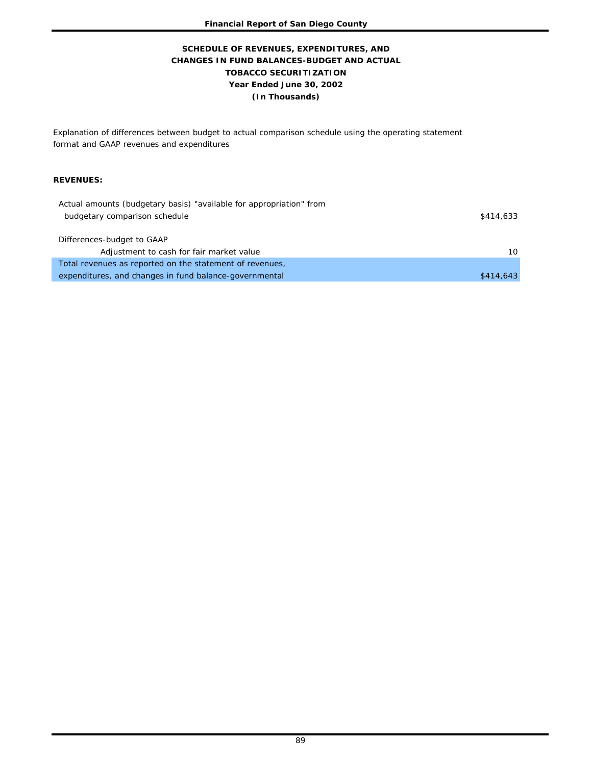## **TOBACCO SECURITIZATION Year Ended June 30, 2002 (In Thousands) SCHEDULE OF REVENUES, EXPENDITURES, AND CHANGES IN FUND BALANCES-BUDGET AND ACTUAL**

Explanation of differences between budget to actual comparison schedule using the operating statement format and GAAP revenues and expenditures

#### **REVENUES:**

| Actual amounts (budgetary basis) "available for appropriation" from |           |
|---------------------------------------------------------------------|-----------|
| budgetary comparison schedule                                       | \$414,633 |
|                                                                     |           |
| Differences-budget to GAAP                                          |           |
| Adjustment to cash for fair market value                            | 10        |
| Total revenues as reported on the statement of revenues,            |           |
| expenditures, and changes in fund balance-governmental              | \$414,643 |
|                                                                     |           |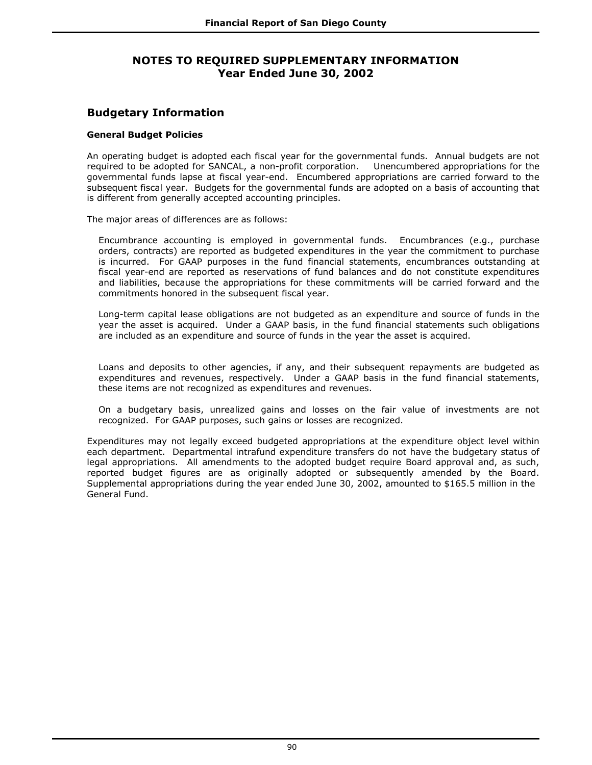# **NOTES TO REQUIRED SUPPLEMENTARY INFORMATION Year Ended June 30, 2002**

# **Budgetary Information**

### **General Budget Policies**

An operating budget is adopted each fiscal year for the governmental funds. Annual budgets are not required to be adopted for SANCAL, a non-profit corporation. Unencumbered appropriations for the governmental funds lapse at fiscal year-end. Encumbered appropriations are carried forward to the subsequent fiscal year. Budgets for the governmental funds are adopted on a basis of accounting that is different from generally accepted accounting principles.

The major areas of differences are as follows:

Encumbrance accounting is employed in governmental funds. Encumbrances (e.g., purchase orders, contracts) are reported as budgeted expenditures in the year the commitment to purchase is incurred. For GAAP purposes in the fund financial statements, encumbrances outstanding at fiscal year-end are reported as reservations of fund balances and do not constitute expenditures and liabilities, because the appropriations for these commitments will be carried forward and the commitments honored in the subsequent fiscal year.

Long-term capital lease obligations are not budgeted as an expenditure and source of funds in the year the asset is acquired. Under a GAAP basis, in the fund financial statements such obligations are included as an expenditure and source of funds in the year the asset is acquired.

Loans and deposits to other agencies, if any, and their subsequent repayments are budgeted as expenditures and revenues, respectively. Under a GAAP basis in the fund financial statements, these items are not recognized as expenditures and revenues.

On a budgetary basis, unrealized gains and losses on the fair value of investments are not recognized. For GAAP purposes, such gains or losses are recognized.

Expenditures may not legally exceed budgeted appropriations at the expenditure object level within each department. Departmental intrafund expenditure transfers do not have the budgetary status of legal appropriations. All amendments to the adopted budget require Board approval and, as such, reported budget figures are as originally adopted or subsequently amended by the Board. Supplemental appropriations during the year ended June 30, 2002, amounted to \$165.5 million in the General Fund.